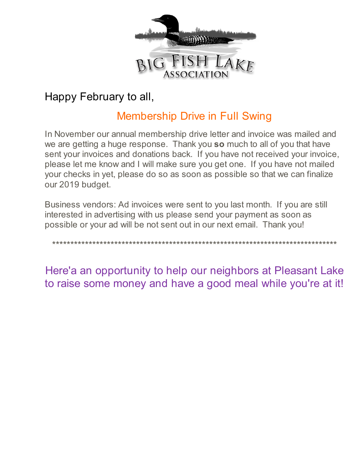

# Happy February to all,

# Membership Drive in Full Swing

In November our annual membership drive letter and invoice was mailed and we are getting a huge response. Thank you **so** much to all of you that have sent your invoices and donations back. If you have not received your invoice, please let me know and I will make sure you get one. If you have not mailed your checks in yet, please do so as soon as possible so that we can finalize our 2019 budget.

Business vendors: Ad invoices were sent to you last month. If you are still interested in advertising with us please send your payment as soon as possible or your ad will be not sent out in our next email. Thank you!

\*\*\*\*\*\*\*\*\*\*\*\*\*\*\*\*\*\*\*\*\*\*\*\*\*\*\*\*\*\*\*\*\*\*\*\*\*\*\*\*\*\*\*\*\*\*\*\*\*\*\*\*\*\*\*\*\*\*\*\*\*\*\*\*\*\*\*\*\*\*\*\*\*\*\*\*\*\*

Here'a an opportunity to help our neighbors at Pleasant Lake to raise some money and have a good meal while you're at it!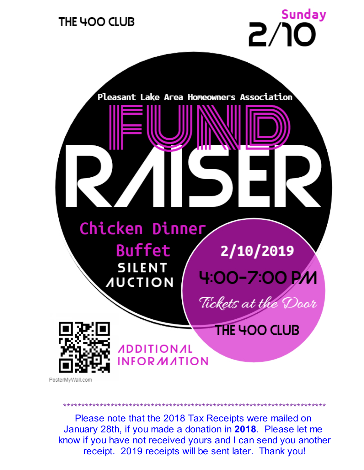

PosterMyWall.com

Please note that the 2018 Tax Receipts were mailed on January 28th, if you made a donation in 2018. Please let me know if you have not received yours and I can send you another receipt. 2019 receipts will be sent later. Thank you!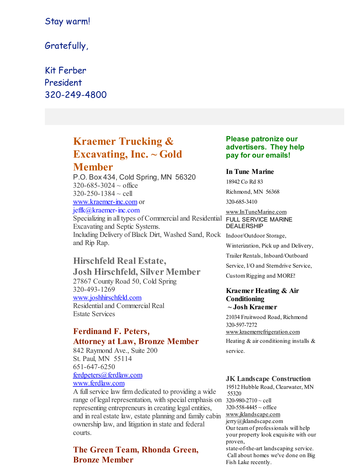## Stay warm!

Gratefully,

## Kit Ferber President 320-249-4800

## **Kraemer Trucking & Excavating, Inc. ~ Gold Member**

P.O. Box 434, Cold Spring, MN 56320  $320 - 685 - 3024 \sim$  office  $320 - 250 - 1384 \sim$  cell [www.kraemer-inc.com](http://www.kraemer-inc.com) or jeffk@kraemer-inc.com

Specializing in all types of Commercial and Residential Excavating and Septic Systems. Including Delivery of Black Dirt, Washed Sand, Rock Indoor/Outdoor Storage, and Rip Rap.

## **Hirschfeld Real Estate,**

**Josh Hirschfeld, Silver Member** 27867 County Road 50, Cold Spring 320-493-1269 [www.joshhirschfeld.com](http://www.joshhirschfeld.com) Residential and Commercial Real Estate Services

### **Ferdinand F. Peters, Attorney at Law, Bronze Member**

842 Raymond Ave., Suite 200 St. Paul, MN 55114 651-647-6250 [ferdpeters@ferdlaw.com](mailto:ferdpeters@ferdlaw.com)

## [www.ferdlaw.com](http://www.ferdlaw.com)

A fullservice law firm dedicated to providing a wide range of legal representation, with special emphasis on  $320-980-2710 \sim$  cell representing entrepreneurs in creating legal entities, and in real estate law, estate planning and family cabin [www.jklandscape.com](http://www.jklandscape.com) ownership law, and litigation in state and federal courts.

## **The Green Team, Rhonda Green, Bronze Member**

#### **Please patronize our advertisers. They help pay for our emails!**

#### **In Tune Marine**

18942 Co Rd 83

Richmond, MN 56368

320-685-3410

[www.InTuneMarine.com](http://www.intunemarine.com)

#### FULL SERVICE MARINE DEALERSHIP

Winterization, Pick up and Delivery, Trailer Rentals, Inboard/Outboard Service, I/O and Sterndrive Service, CustomRigging and MORE!

### **Kraemer Heating & Air Conditioning**

## **~ Josh Kraemer**

21034 Fruitwood Road, Richmond 320-597-7272 [www.kraemerrefrigeration.com](http://www.kraemerrefrigeration.com) Heating & air conditioning installs & service.

#### **JK Landscape Construction**

19512 Hubble Road, Clearwater, MN 55320  $320 - 558 - 4445 \sim$  office jerry@jklandscape.com Our teamof professionals will help your property look exquisite with our proven, state-of-the-art landscaping service. Call about homes we've done on Big

Fish Lake recently.